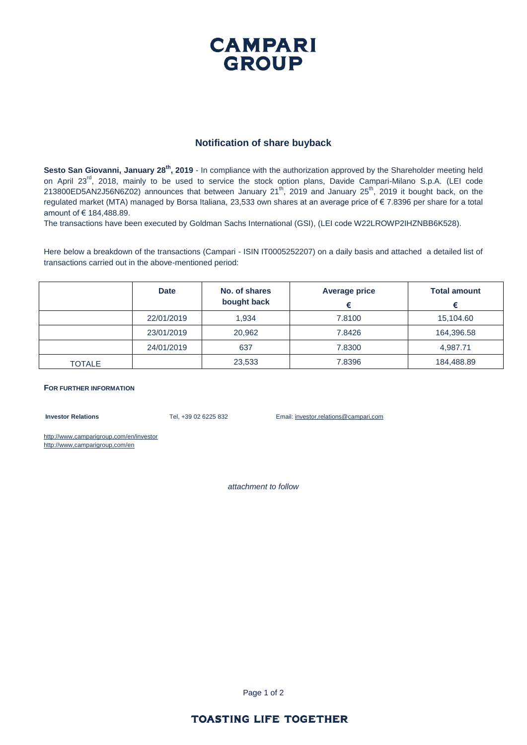# **CAMPARI GROUP**

### **Notification of share buyback**

**Sesto San Giovanni, January 28 th, 2019** - In compliance with the authorization approved by the Shareholder meeting held on April 23<sup>rd</sup>, 2018, mainly to be used to service the stock option plans, Davide Campari-Milano S.p.A. (LEI code 213800ED5AN2J56N6Z02) announces that between January 21th, 2019 and January 25th, 2019 it bought back, on the regulated market (MTA) managed by Borsa Italiana, 23,533 own shares at an average price of € 7.8396 per share for a total amount of € 184,488.89.

The transactions have been executed by Goldman Sachs International (GSI), (LEI code W22LROWP2IHZNBB6K528).

Here below a breakdown of the transactions (Campari - ISIN IT0005252207) on a daily basis and attached a detailed list of transactions carried out in the above-mentioned period:

|               | <b>Date</b> | No. of shares<br>bought back | <b>Average price</b> | <b>Total amount</b> |
|---------------|-------------|------------------------------|----------------------|---------------------|
|               | 22/01/2019  | 1.934                        | 7.8100               | 15,104.60           |
|               | 23/01/2019  | 20,962                       | 7.8426               | 164,396.58          |
|               | 24/01/2019  | 637                          | 7.8300               | 4.987.71            |
| <b>TOTALE</b> |             | 23,533                       | 7.8396               | 184,488.89          |

#### **FOR FURTHER INFORMATION**

**Investor Relations** Tel, +39 02 6225 832 Email: investor,relations@campari,com

http://www,camparigroup,com/en/investor http://www,camparigroup,com/en

*attachment to follow*

Page 1 of 2

## **TOASTING LIFE TOGETHER**